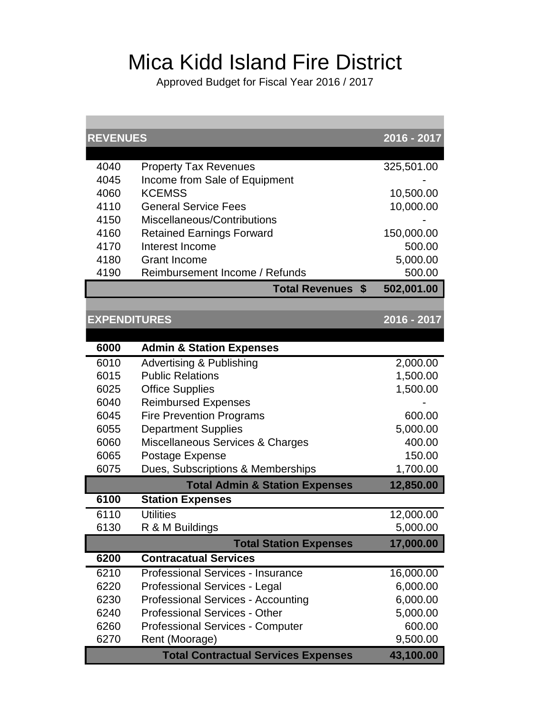## Mica Kidd Island Fire District

Approved Budget for Fiscal Year 2016 / 2017

| <b>REVENUES</b>     |                                                                | 2016 - 2017          |
|---------------------|----------------------------------------------------------------|----------------------|
| 4040                | <b>Property Tax Revenues</b>                                   | 325,501.00           |
| 4045                | Income from Sale of Equipment                                  |                      |
| 4060                | <b>KCEMSS</b>                                                  | 10,500.00            |
| 4110                | <b>General Service Fees</b>                                    | 10,000.00            |
| 4150                | Miscellaneous/Contributions                                    |                      |
| 4160                | <b>Retained Earnings Forward</b>                               | 150,000.00           |
| 4170                | Interest Income                                                | 500.00               |
| 4180                | <b>Grant Income</b>                                            | 5,000.00             |
| 4190                | Reimbursement Income / Refunds                                 | 500.00               |
|                     | <b>Total Revenues</b><br>\$                                    | 502,001.00           |
| <b>EXPENDITURES</b> |                                                                | 2016 - 2017          |
|                     |                                                                |                      |
| 6000                | <b>Admin &amp; Station Expenses</b>                            |                      |
| 6010                |                                                                |                      |
| 6015                | <b>Advertising &amp; Publishing</b><br><b>Public Relations</b> | 2,000.00<br>1,500.00 |
| 6025                | <b>Office Supplies</b>                                         | 1,500.00             |
| 6040                | <b>Reimbursed Expenses</b>                                     |                      |
| 6045                | <b>Fire Prevention Programs</b>                                | 600.00               |
| 6055                | <b>Department Supplies</b>                                     | 5,000.00             |
| 6060                | Miscellaneous Services & Charges                               | 400.00               |
| 6065                | Postage Expense                                                | 150.00               |
| 6075                | Dues, Subscriptions & Memberships                              | 1,700.00             |
|                     | <b>Total Admin &amp; Station Expenses</b>                      | 12,850.00            |
| 6100                | <b>Station Expenses</b>                                        |                      |
| 6110                | <b>Utilities</b>                                               | 12,000.00            |
| 6130                | R & M Buildings                                                | 5,000.00             |
|                     | <b>Total Station Expenses</b>                                  | 17,000.00            |
| 6200                | <b>Contracatual Services</b>                                   |                      |
| 6210                | Professional Services - Insurance                              | 16,000.00            |
| 6220                | Professional Services - Legal                                  | 6,000.00             |
| 6230                | <b>Professional Services - Accounting</b>                      | 6,000.00             |
| 6240                | <b>Professional Services - Other</b>                           | 5,000.00             |
| 6260                | <b>Professional Services - Computer</b>                        | 600.00               |
| 6270                | Rent (Moorage)                                                 | 9,500.00             |
|                     | <b>Total Contractual Services Expenses</b>                     | 43,100.00            |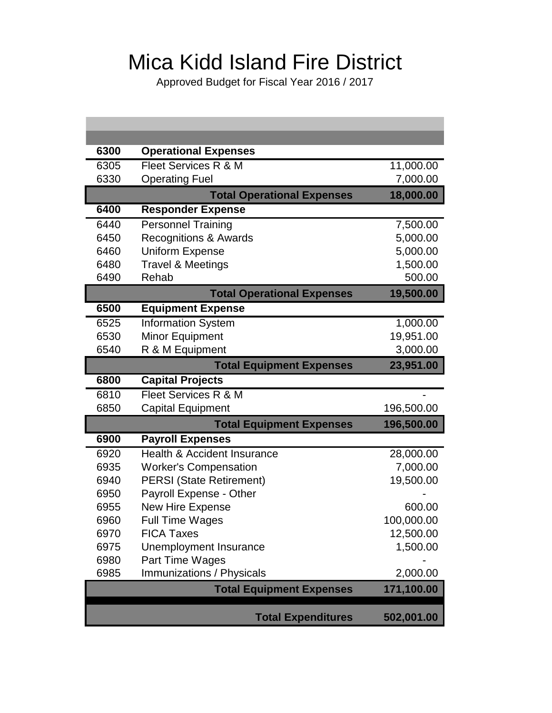## Mica Kidd Island Fire District

Approved Budget for Fiscal Year 2016 / 2017

| 6300 | <b>Operational Expenses</b>            |            |
|------|----------------------------------------|------------|
| 6305 | Fleet Services R & M                   | 11,000.00  |
| 6330 | <b>Operating Fuel</b>                  | 7,000.00   |
|      | <b>Total Operational Expenses</b>      | 18,000.00  |
| 6400 | <b>Responder Expense</b>               |            |
| 6440 | <b>Personnel Training</b>              | 7,500.00   |
| 6450 | <b>Recognitions &amp; Awards</b>       | 5,000.00   |
| 6460 | <b>Uniform Expense</b>                 | 5,000.00   |
| 6480 | <b>Travel &amp; Meetings</b>           | 1,500.00   |
| 6490 | Rehab                                  | 500.00     |
|      | <b>Total Operational Expenses</b>      | 19,500.00  |
| 6500 | <b>Equipment Expense</b>               |            |
| 6525 | <b>Information System</b>              | 1,000.00   |
| 6530 | <b>Minor Equipment</b>                 | 19,951.00  |
| 6540 | R & M Equipment                        | 3,000.00   |
|      | <b>Total Equipment Expenses</b>        | 23,951.00  |
| 6800 | <b>Capital Projects</b>                |            |
| 6810 | Fleet Services R & M                   |            |
| 6850 | <b>Capital Equipment</b>               | 196,500.00 |
|      | <b>Total Equipment Expenses</b>        | 196,500.00 |
| 6900 | <b>Payroll Expenses</b>                |            |
| 6920 | <b>Health &amp; Accident Insurance</b> | 28,000.00  |
| 6935 | <b>Worker's Compensation</b>           | 7,000.00   |
| 6940 | <b>PERSI</b> (State Retirement)        | 19,500.00  |
| 6950 | Payroll Expense - Other                |            |
| 6955 | <b>New Hire Expense</b>                | 600.00     |
| 6960 | <b>Full Time Wages</b>                 | 100,000.00 |
| 6970 | <b>FICA Taxes</b>                      | 12,500.00  |
| 6975 | Unemployment Insurance                 | 1,500.00   |
| 6980 | Part Time Wages                        |            |
| 6985 | Immunizations / Physicals              | 2,000.00   |
|      | <b>Total Equipment Expenses</b>        | 171,100.00 |
|      |                                        |            |
|      | <b>Total Expenditures</b>              | 502,001.00 |